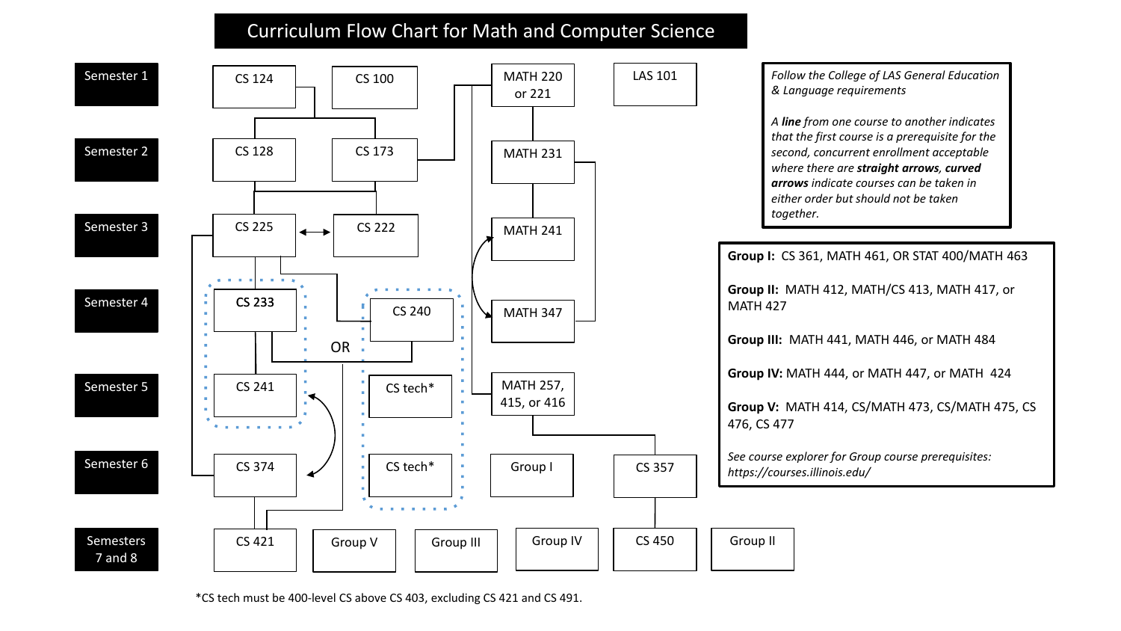## Curriculum Flow Chart for Math and Computer Science



\*CS tech must be 400-level CS above CS 403, excluding CS 421 and CS 491.